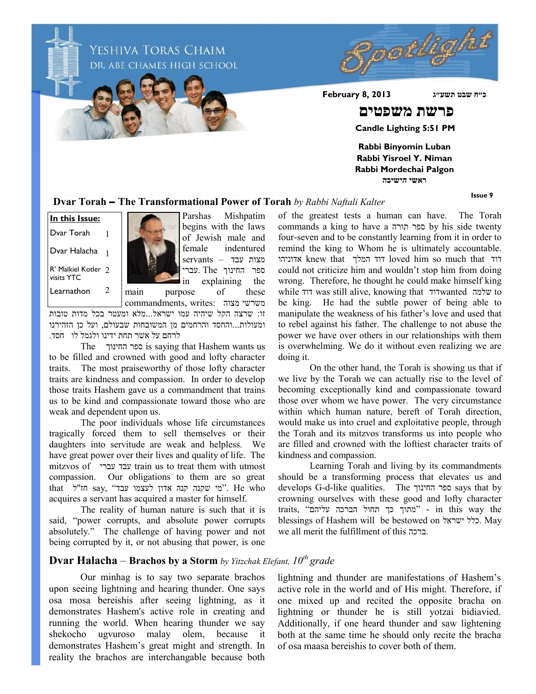pockigh YESHIVA TORAS CHAIM DR. ABE CHAMES HIGH SCHOOL **כ״ח שבט תשע״ג 2013 8, February פרשת משפטים Candle Lighting 5:51 PM Rabbi Binyomin Luban Rabbi Yisroel Y. Niman Rabbi Mordechai Palgon**

**ראשי הישיבה**

**Issue 9**

#### **Dvar Torah – The Transformational Power of Torah** *by Rabbi Naftali Kalter*

R' Malkiel Kotler 2 visits YTC **In this Issue:** Dvar Torah Dvar Halacha 1 1 Learnathon 2



Parshas Mishpatim begins with the laws of Jewish male and female indentured מצות עבד – servants ספר החינוך The .עברי in explaining the main purpose of these

commandments, writes: משרשי מצוה זו: שרצה הקל שיהיה עמו ישראל...מלא ומעטר בכל מדות טובות ומעולות...והחסד והרחמים מן המשובחות שבעולם, ועל כן הזהירנו לרחם על אשר תחת ידינו ולגמל לו חסד.

The החינוך ספר is saying that Hashem wants us to be filled and crowned with good and lofty character traits. The most praiseworthy of those lofty character traits are kindness and compassion. In order to develop those traits Hashem gave us a commandment that trains us to be kind and compassionate toward those who are weak and dependent upon us.

The poor individuals whose life circumstances tragically forced them to sell themselves or their daughters into servitude are weak and helpless. We have great power over their lives and quality of life. The mitzvos of עברי עבד train us to treat them with utmost compassion. Our obligations to them are so great that וויל say, "מי שקנה אדון לעצמו עבד" , He who acquires a servant has acquired a master for himself.

The reality of human nature is such that it is said, "power corrupts, and absolute power corrupts absolutely." The challenge of having power and not being corrupted by it, or not abusing that power, is one of the greatest tests a human can have. The Torah commands a king to have a תורה ספר by his side twenty four-seven and to be constantly learning from it in order to remind the king to Whom he is ultimately accountable. אדוניהו knew that המלך דוד loved him so much that דוד could not criticize him and wouldn't stop him from doing wrong. Therefore, he thought he could make himself king while דוד was still alive, knowing that דודwanted שלמה to be king. He had the subtle power of being able to manipulate the weakness of his father's love and used that to rebel against his father. The challenge to not abuse the power we have over others in our relationships with them is overwhelming. We do it without even realizing we are doing it.

On the other hand, the Torah is showing us that if we live by the Torah we can actually rise to the level of becoming exceptionally kind and compassionate toward those over whom we have power. The very circumstance within which human nature, bereft of Torah direction, would make us into cruel and exploitative people, through the Torah and its mitzvos transforms us into people who are filled and crowned with the loftiest character traits of kindness and compassion.

Learning Torah and living by its commandments should be a transforming process that elevates us and develops G-d-like qualities. The החינוך ספר says that by crowning ourselves with these good and lofty character traits, "מתוך כך תחול הברכה עליהם" - in this way the blessings of Hashem will be bestowed on ישראל כלל. May we all merit the fulfillment of this ברכה.

### **Dvar Halacha** – **Brachos by a Storm** *by Yitzchak Elefant, 10th grade*

Our minhag is to say two separate brachos upon seeing lightning and hearing thunder. One says osa mosa bereishis after seeing lightning, as it demonstrates Hashem's active role in creating and running the world. When hearing thunder we say shekocho ugvuroso malay olem, because it demonstrates Hashem's great might and strength. In reality the brachos are interchangable because both

lightning and thunder are manifestations of Hashem's active role in the world and of His might. Therefore, if one mixed up and recited the opposite bracha on lightning or thunder he is still yotzai bidiavied. Additionally, if one heard thunder and saw lightening both at the same time he should only recite the bracha of osa maasa bereishis to cover both of them.